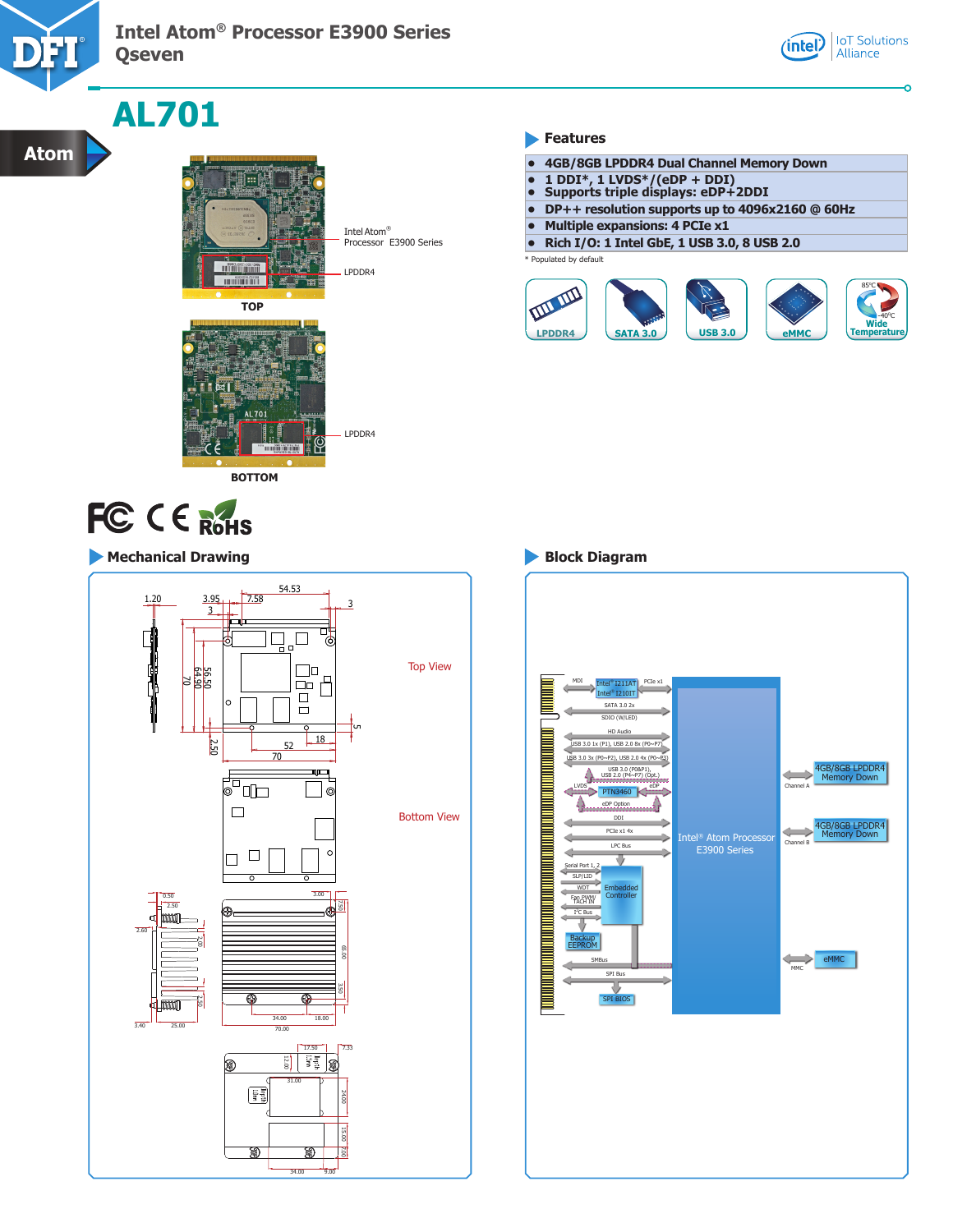

**Atom**

### **Intel Atom® Processor E3900 Series Qseven**



## **AL701**



**BOTTOM**

 $\sqrt{70}$ 

Intel Atom® Processor E3900 Series

### LPDDR4

LPDDR4

**Features** 

- **• 4GB/8GB LPDDR4 Dual Channel Memory Down**
- **• 1 DDI\*, 1 LVDS\*/(eDP + DDI)**
- **• Supports triple displays: eDP+2DDI**
- **• DP++ resolution supports up to 4096x2160 @ 60Hz**
- **• Multiple expansions: 4 PCIe x1**
- **• Rich I/O: 1 Intel GbE, 1 USB 3.0, 8 USB 2.0**

Populated by default



# FC CE ROHS

### **Mechanical Drawing Block Diagram**